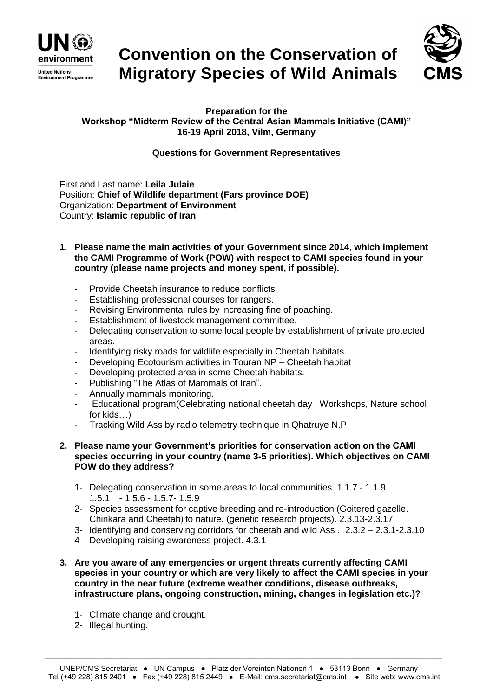

## **Convention on the Conservation of Migratory Species of Wild Animals**



**Preparation for the Workshop "Midterm Review of the Central Asian Mammals Initiative (CAMI)" 16-19 April 2018, Vilm, Germany**

## **Questions for Government Representatives**

First and Last name: **Leila Julaie** Position: **Chief of Wildlife department (Fars province DOE)** Organization: **Department of Environment** Country: **Islamic republic of Iran**

- **1. Please name the main activities of your Government since 2014, which implement the CAMI Programme of Work (POW) with respect to CAMI species found in your country (please name projects and money spent, if possible).**
	- Provide Cheetah insurance to reduce conflicts
	- Establishing professional courses for rangers.
	- Revising Environmental rules by increasing fine of poaching.
	- Establishment of livestock management committee.
	- Delegating conservation to some local people by establishment of private protected areas.
	- Identifying risky roads for wildlife especially in Cheetah habitats.
	- Developing Ecotourism activities in Touran NP Cheetah habitat
	- Developing protected area in some Cheetah habitats.
	- Publishing "The Atlas of Mammals of Iran".
	- Annually mammals monitoring.
	- Educational program(Celebrating national cheetah day , Workshops, Nature school for kids…)
	- Tracking Wild Ass by radio telemetry technique in Qhatruye N.P

## **2. Please name your Government's priorities for conservation action on the CAMI species occurring in your country (name 3-5 priorities). Which objectives on CAMI POW do they address?**

- 1- Delegating conservation in some areas to local communities. 1.1.7 1.1.9 1.5.1 - 1.5.6 - 1.5.7- 1.5.9
- 2- Species assessment for captive breeding and re-introduction (Goitered gazelle. Chinkara and Cheetah) to nature. (genetic research projects). 2.3.13-2.3.17
- 3- Identifying and conserving corridors for cheetah and wild Ass . 2.3.2 2.3.1-2.3.10
- 4- Developing raising awareness project. 4.3.1
- **3. Are you aware of any emergencies or urgent threats currently affecting CAMI species in your country or which are very likely to affect the CAMI species in your country in the near future (extreme weather conditions, disease outbreaks, infrastructure plans, ongoing construction, mining, changes in legislation etc.)?** 
	- 1- Climate change and drought.
	- 2- Illegal hunting.

\_\_\_\_\_\_\_\_\_\_\_\_\_\_\_\_\_\_\_\_\_\_\_\_\_\_\_\_\_\_\_\_\_\_\_\_\_\_\_\_\_\_\_\_\_\_\_\_\_\_\_\_\_\_\_\_\_\_\_\_\_\_\_\_\_\_\_\_\_\_\_\_\_\_\_\_\_\_\_\_